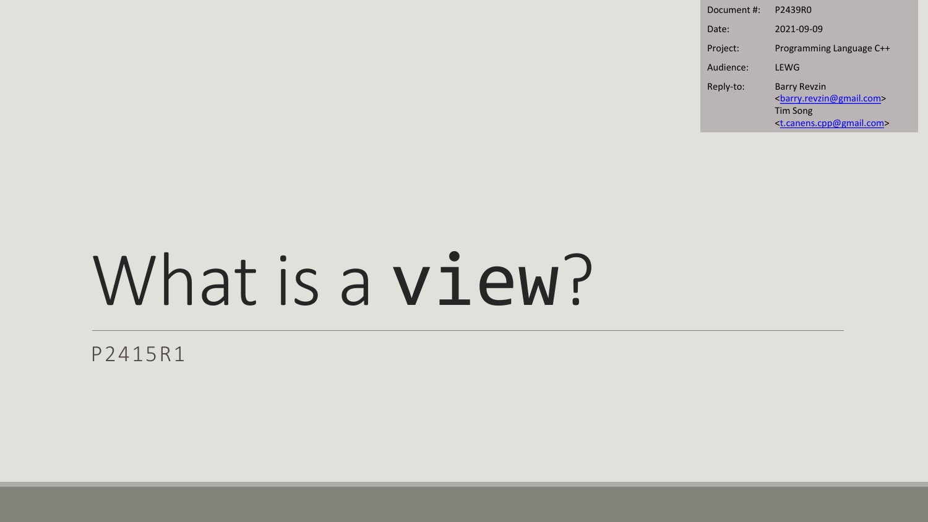| Document #: | P2439R0                                                                                                                              |
|-------------|--------------------------------------------------------------------------------------------------------------------------------------|
| Date:       | 2021-09-09                                                                                                                           |
| Project:    | Programming Language C++                                                                                                             |
| Audience:   | LEWG                                                                                                                                 |
| Reply-to:   | Barry Revzin<br><barry.revzin@gmail.com><br/>Tim Song<br/><t.canens.cpp@gmail.com></t.canens.cpp@gmail.com></barry.revzin@gmail.com> |

# What is a view?

P2415R1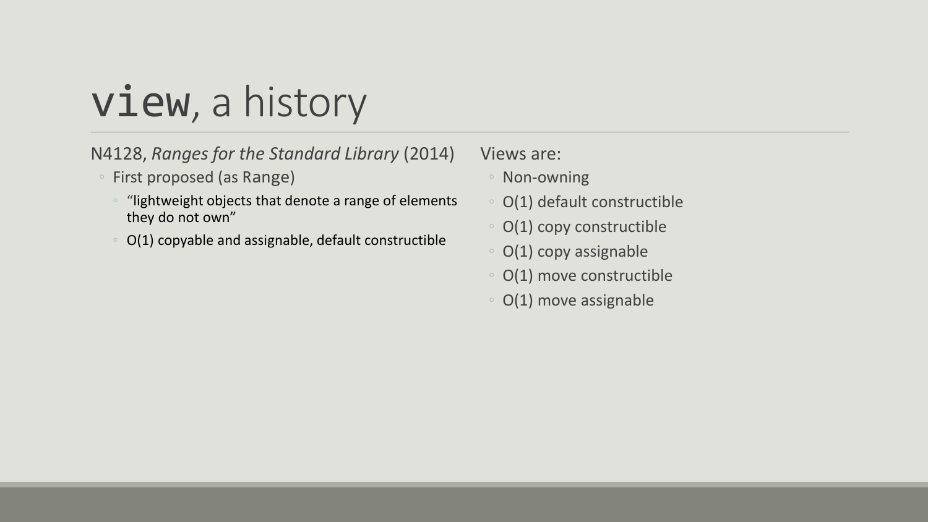N4128, *Ranges for the Standard Library* (2014)

- First proposed (as Range)
	- "lightweight objects that denote a range of elements they do not own"
	- O(1) copyable and assignable, default constructible

Views are:

- Non-owning
- O(1) default constructible
- O(1) copy constructible
- O(1) copy assignable
- O(1) move constructible
- O(1) move assignable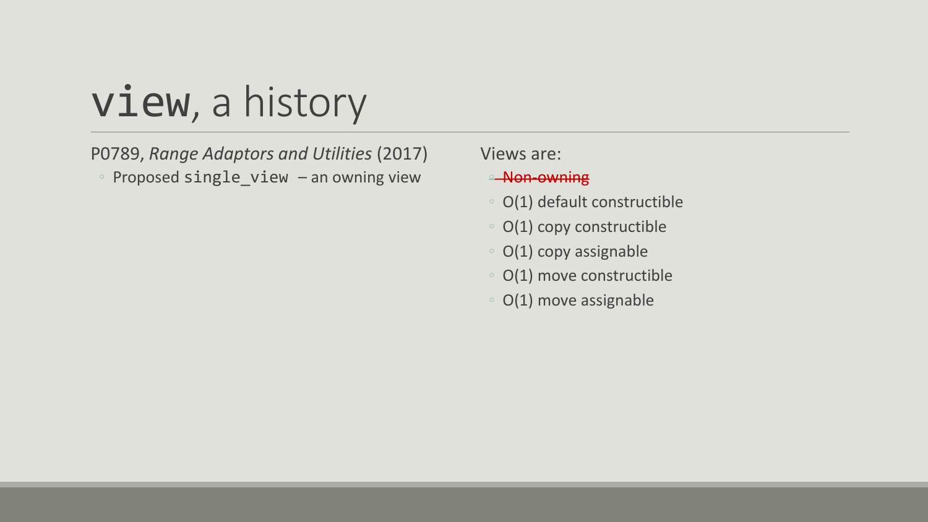P0789, *Range Adaptors and Utilities* (2017) ◦ Proposed single\_view – an owning view

Views are:

◦ Non-owning

- O(1) default constructible
- O(1) copy constructible
- O(1) copy assignable
- O(1) move constructible
- O(1) move assignable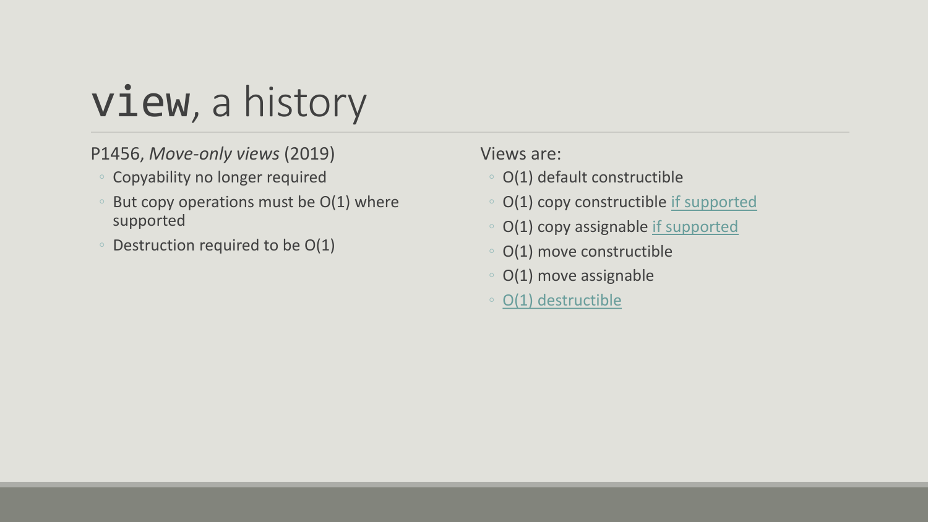### P1456, *Move-only views* (2019)

- Copyability no longer required
- But copy operations must be O(1) where supported
- Destruction required to be O(1)

#### Views are:

- O(1) default constructible
- O(1) copy constructible if supported
- O(1) copy assignable if supported
- O(1) move constructible
- O(1) move assignable
- O(1) destructible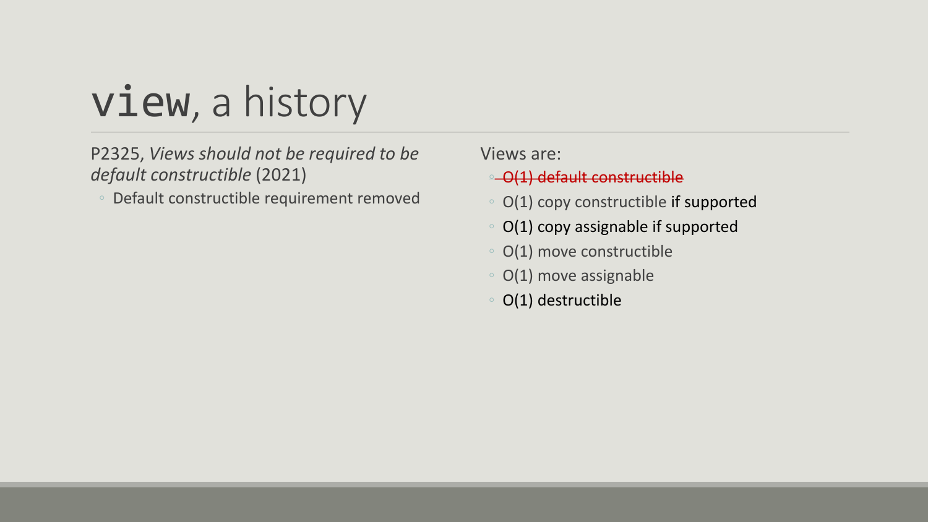P2325, *Views should not be required to be default constructible* (2021)

◦ Default constructible requirement removed

Views are:

◦ O(1) default constructible

- O(1) copy constructible if supported
- O(1) copy assignable if supported
- O(1) move constructible
- O(1) move assignable
- O(1) destructible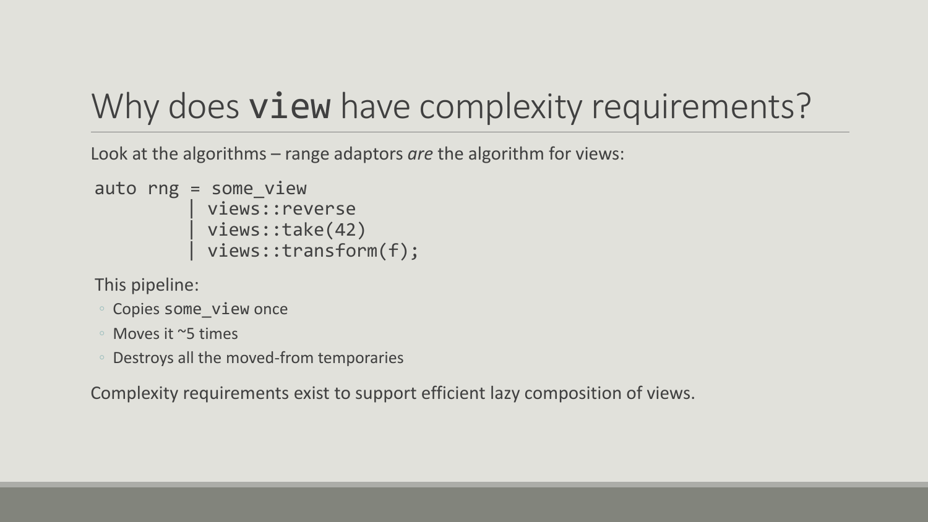### Why does **view** have complexity requirements?

Look at the algorithms – range adaptors *are* the algorithm for views:

```
auto rng = some_view
          views:: reverse
         | views::take(42)
         | views::transform(f);
```
This pipeline:

- Copies some\_view once
- Moves it ~5 times
- Destroys all the moved-from temporaries

Complexity requirements exist to support efficient lazy composition of views.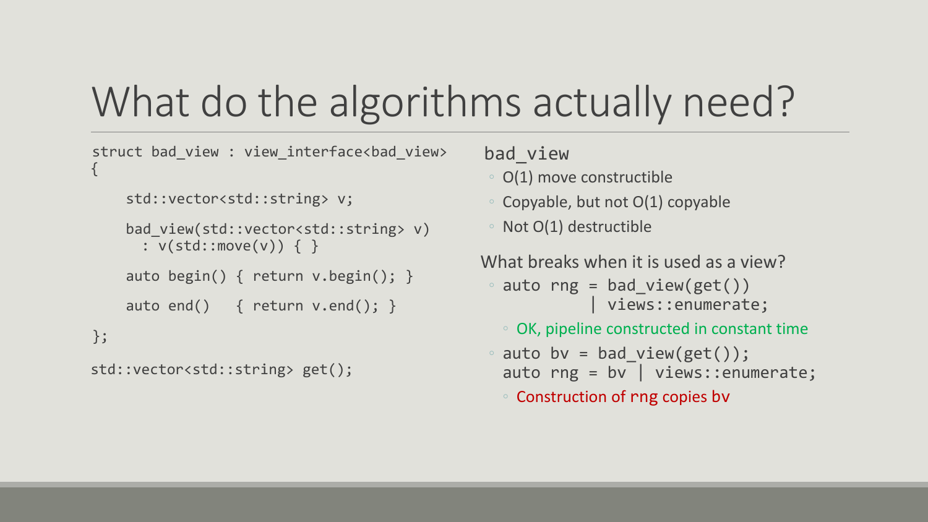## What do the algorithms actually need?

```
struct bad_view : view_interface<bad_view>
{
```

```
std::vector<std::string> v;
```

```
bad view(std::vector<std::string> v)
  : v(std::move(v)) { }
```

```
auto begin() { return v.\text{begin}(); }
```

```
auto end() { return v.end(); }
```
};

```
std::vector<std::string> get();
```

```
bad_view
```
- O(1) move constructible
- Copyable, but not O(1) copyable
- Not O(1) destructible

What breaks when it is used as a view?

- auto rng = bad\_view(get()) | views::enumerate;
	- OK, pipeline constructed in constant time
- $\circ$  auto bv = bad\_view(get()); auto rng = bv | views::enumerate;
	- Construction of rng copies bv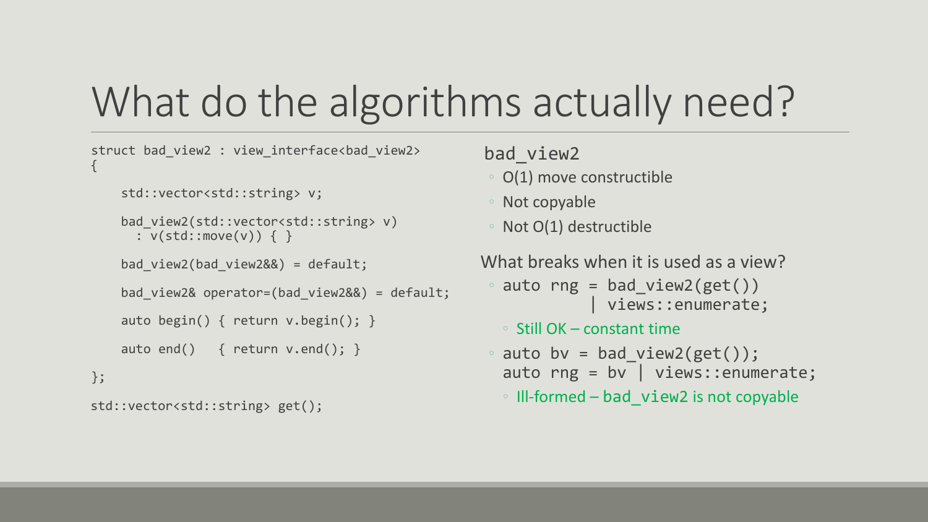## What do the algorithms actually need?

```
struct bad view2 : view interface<br/>bad view2>
\mathfrak{c}
```

```
std::vector<std::string> v;
```

```
bad view2(std::vector<std::string> v)
  : v(std::move(v)) { }
```

```
bad view2(bad view2&&) = default;
```

```
bad_view2& operator=(bad_view2&&) = default;
```

```
auto begin() { return v.\text{begin}(); }
```

```
auto end() { return v.end(); }
```
};

```
std::vector<std::string> get();
```

```
bad_view2
```
- O(1) move constructible
- Not copyable
- Not O(1) destructible

What breaks when it is used as a view?  $\circ$  auto rng = bad\_view2(get())

- | views::enumerate;
- Still OK constant time
- $\circ$  auto by = bad view2(get()); auto  $rng = bv$  | views::enumerate;
	- Ill-formed bad\_view2 is not copyable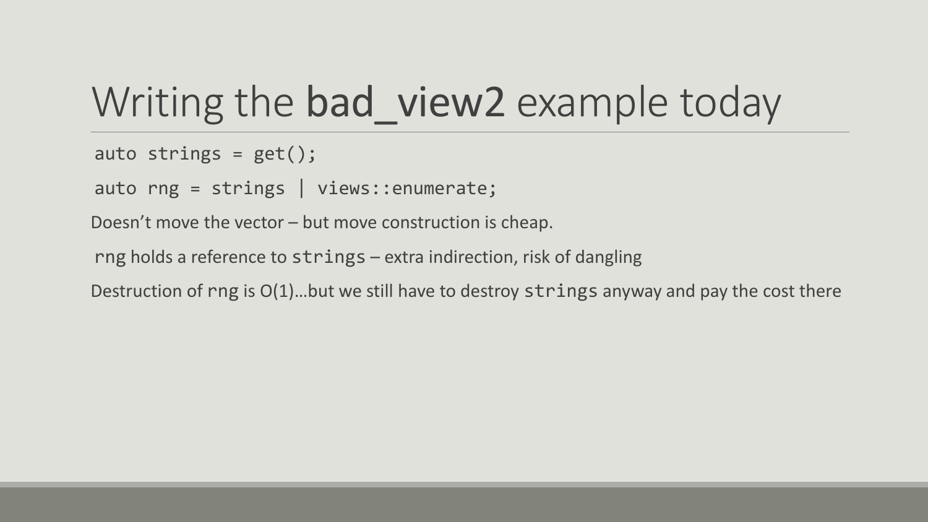## Writing the bad view2 example today

```
auto strings = get();
```
auto rng = strings | views::enumerate;

Doesn't move the vector – but move construction is cheap.

rng holds a reference to strings – extra indirection, risk of dangling

Destruction of rng is O(1)…but we still have to destroy strings anyway and pay the cost there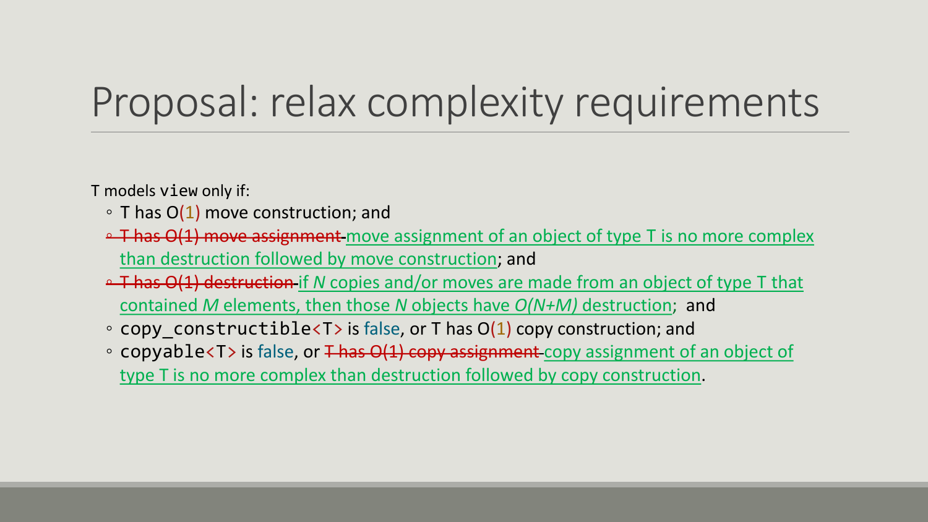## Proposal: relax complexity requirements

T models view only if:

- $\circ$  T has O(1) move construction; and
- <sup>□</sup> T has O(1) move assignment move assignment of an object of type T is no more complex than destruction followed by move construction; and
- T has O(1) destruction if *N* copies and/or moves are made from an object of type T that contained *M* elements, then those *N* objects have *O(N+M)* destruction; and
- copy constructible<T> is false, or T has O(1) copy construction; and
- copyable<T> is false, or Thas  $O(1)$  copy assignment copy assignment of an object of type T is no more complex than destruction followed by copy construction.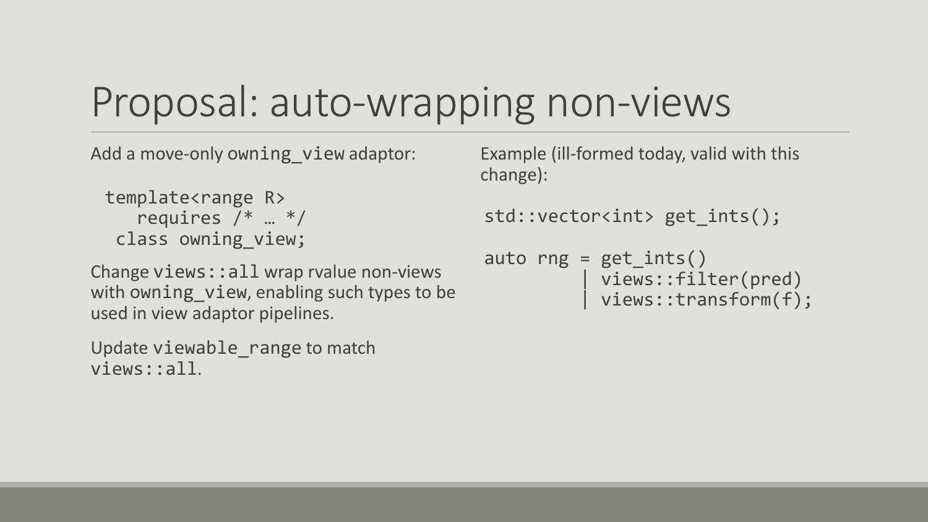## Proposal: auto-wrapping non-views

Add a move-only owning view adaptor:

```
template<range R>
   requires /* … */
 class owning_view;
```
Change views::all wrap rvalue non-views with owning\_view, enabling such types to be used in view adaptor pipelines.

Update viewable\_range to match views::all.

Example (ill-formed today, valid with this change):

```
std::vector<int> get_ints();
```

```
auto rng = get\_ints()| views::filter(pred)
         | views::transform(f);
```